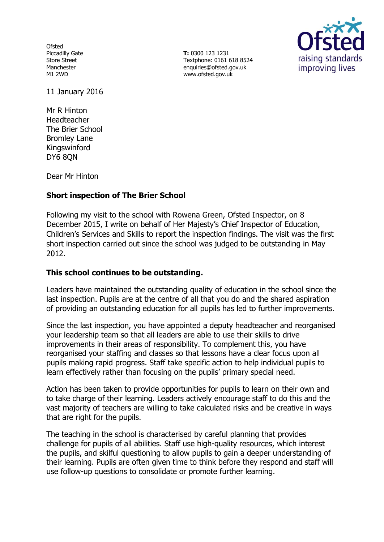Ofsted Piccadilly Gate Store Street Manchester M1 2WD

**T:** 0300 123 1231 Textphone: 0161 618 8524 enquiries@ofsted.gov.uk www.ofsted.gov.uk



11 January 2016

Mr R Hinton Headteacher The Brier School Bromley Lane Kingswinford DY6 8QN

Dear Mr Hinton

## **Short inspection of The Brier School**

Following my visit to the school with Rowena Green, Ofsted Inspector, on 8 December 2015, I write on behalf of Her Majesty's Chief Inspector of Education, Children's Services and Skills to report the inspection findings. The visit was the first short inspection carried out since the school was judged to be outstanding in May 2012.

## **This school continues to be outstanding.**

Leaders have maintained the outstanding quality of education in the school since the last inspection. Pupils are at the centre of all that you do and the shared aspiration of providing an outstanding education for all pupils has led to further improvements.

Since the last inspection, you have appointed a deputy headteacher and reorganised your leadership team so that all leaders are able to use their skills to drive improvements in their areas of responsibility. To complement this, you have reorganised your staffing and classes so that lessons have a clear focus upon all pupils making rapid progress. Staff take specific action to help individual pupils to learn effectively rather than focusing on the pupils' primary special need.

Action has been taken to provide opportunities for pupils to learn on their own and to take charge of their learning. Leaders actively encourage staff to do this and the vast majority of teachers are willing to take calculated risks and be creative in ways that are right for the pupils.

The teaching in the school is characterised by careful planning that provides challenge for pupils of all abilities. Staff use high-quality resources, which interest the pupils, and skilful questioning to allow pupils to gain a deeper understanding of their learning. Pupils are often given time to think before they respond and staff will use follow-up questions to consolidate or promote further learning.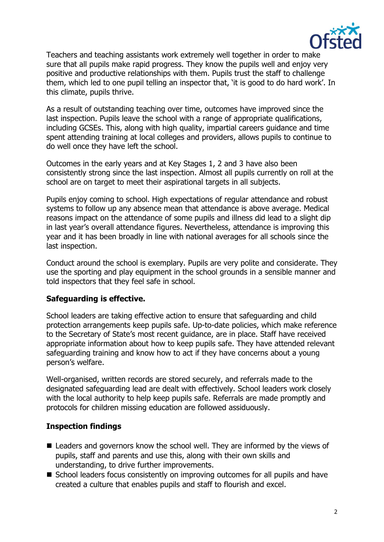

Teachers and teaching assistants work extremely well together in order to make sure that all pupils make rapid progress. They know the pupils well and enjoy very positive and productive relationships with them. Pupils trust the staff to challenge them, which led to one pupil telling an inspector that, 'it is good to do hard work'. In this climate, pupils thrive.

As a result of outstanding teaching over time, outcomes have improved since the last inspection. Pupils leave the school with a range of appropriate qualifications, including GCSEs. This, along with high quality, impartial careers guidance and time spent attending training at local colleges and providers, allows pupils to continue to do well once they have left the school.

Outcomes in the early years and at Key Stages 1, 2 and 3 have also been consistently strong since the last inspection. Almost all pupils currently on roll at the school are on target to meet their aspirational targets in all subjects.

Pupils enjoy coming to school. High expectations of regular attendance and robust systems to follow up any absence mean that attendance is above average. Medical reasons impact on the attendance of some pupils and illness did lead to a slight dip in last year's overall attendance figures. Nevertheless, attendance is improving this year and it has been broadly in line with national averages for all schools since the last inspection.

Conduct around the school is exemplary. Pupils are very polite and considerate. They use the sporting and play equipment in the school grounds in a sensible manner and told inspectors that they feel safe in school.

## **Safeguarding is effective.**

School leaders are taking effective action to ensure that safeguarding and child protection arrangements keep pupils safe. Up-to-date policies, which make reference to the Secretary of State's most recent guidance, are in place. Staff have received appropriate information about how to keep pupils safe. They have attended relevant safeguarding training and know how to act if they have concerns about a young person's welfare.

Well-organised, written records are stored securely, and referrals made to the designated safeguarding lead are dealt with effectively. School leaders work closely with the local authority to help keep pupils safe. Referrals are made promptly and protocols for children missing education are followed assiduously.

# **Inspection findings**

- Leaders and governors know the school well. They are informed by the views of pupils, staff and parents and use this, along with their own skills and understanding, to drive further improvements.
- School leaders focus consistently on improving outcomes for all pupils and have created a culture that enables pupils and staff to flourish and excel.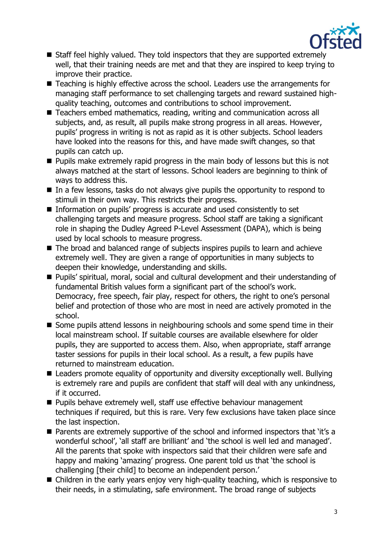

- Staff feel highly valued. They told inspectors that they are supported extremely well, that their training needs are met and that they are inspired to keep trying to improve their practice.
- Teaching is highly effective across the school. Leaders use the arrangements for managing staff performance to set challenging targets and reward sustained highquality teaching, outcomes and contributions to school improvement.
- Teachers embed mathematics, reading, writing and communication across all subjects, and, as result, all pupils make strong progress in all areas. However, pupils' progress in writing is not as rapid as it is other subjects. School leaders have looked into the reasons for this, and have made swift changes, so that pupils can catch up.
- $\blacksquare$  Pupils make extremely rapid progress in the main body of lessons but this is not always matched at the start of lessons. School leaders are beginning to think of ways to address this.
- $\blacksquare$  In a few lessons, tasks do not always give pupils the opportunity to respond to stimuli in their own way. This restricts their progress.
- Information on pupils' progress is accurate and used consistently to set challenging targets and measure progress. School staff are taking a significant role in shaping the Dudley Agreed P-Level Assessment (DAPA), which is being used by local schools to measure progress.
- The broad and balanced range of subjects inspires pupils to learn and achieve extremely well. They are given a range of opportunities in many subjects to deepen their knowledge, understanding and skills.
- Pupils' spiritual, moral, social and cultural development and their understanding of fundamental British values form a significant part of the school's work. Democracy, free speech, fair play, respect for others, the right to one's personal belief and protection of those who are most in need are actively promoted in the school.
- Some pupils attend lessons in neighbouring schools and some spend time in their local mainstream school. If suitable courses are available elsewhere for older pupils, they are supported to access them. Also, when appropriate, staff arrange taster sessions for pupils in their local school. As a result, a few pupils have returned to mainstream education.
- Leaders promote equality of opportunity and diversity exceptionally well. Bullying is extremely rare and pupils are confident that staff will deal with any unkindness, if it occurred.
- **Pupils behave extremely well, staff use effective behaviour management** techniques if required, but this is rare. Very few exclusions have taken place since the last inspection.
- Parents are extremely supportive of the school and informed inspectors that 'it's a wonderful school', 'all staff are brilliant' and 'the school is well led and managed'. All the parents that spoke with inspectors said that their children were safe and happy and making 'amazing' progress. One parent told us that 'the school is challenging [their child] to become an independent person.'
- Children in the early years enjoy very high-quality teaching, which is responsive to their needs, in a stimulating, safe environment. The broad range of subjects